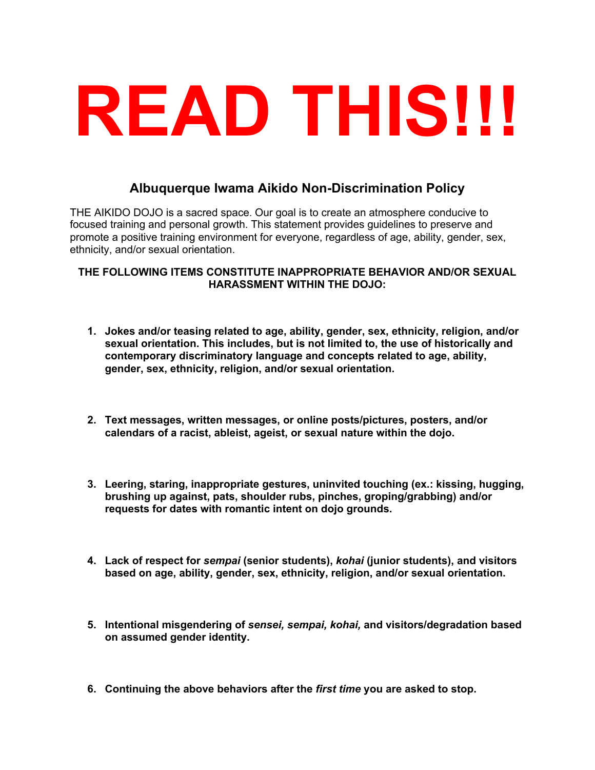# **READ THIS!!!**

# **Albuquerque Iwama Aikido Non-Discrimination Policy**

THE AIKIDO DOJO is a sacred space. Our goal is to create an atmosphere conducive to focused training and personal growth. This statement provides guidelines to preserve and promote a positive training environment for everyone, regardless of age, ability, gender, sex, ethnicity, and/or sexual orientation.

## **THE FOLLOWING ITEMS CONSTITUTE INAPPROPRIATE BEHAVIOR AND/OR SEXUAL HARASSMENT WITHIN THE DOJO:**

- **1. Jokes and/or teasing related to age, ability, gender, sex, ethnicity, religion, and/or sexual orientation. This includes, but is not limited to, the use of historically and contemporary discriminatory language and concepts related to age, ability, gender, sex, ethnicity, religion, and/or sexual orientation.**
- **2. Text messages, written messages, or online posts/pictures, posters, and/or calendars of a racist, ableist, ageist, or sexual nature within the dojo.**
- **3. Leering, staring, inappropriate gestures, uninvited touching (ex.: kissing, hugging, brushing up against, pats, shoulder rubs, pinches, groping/grabbing) and/or requests for dates with romantic intent on dojo grounds.**
- **4. Lack of respect for** *sempai* **(senior students),** *kohai* **(junior students), and visitors based on age, ability, gender, sex, ethnicity, religion, and/or sexual orientation.**
- **5. Intentional misgendering of** *sensei, sempai, kohai,* **and visitors/degradation based on assumed gender identity.**
- **6. Continuing the above behaviors after the** *first time* **you are asked to stop.**